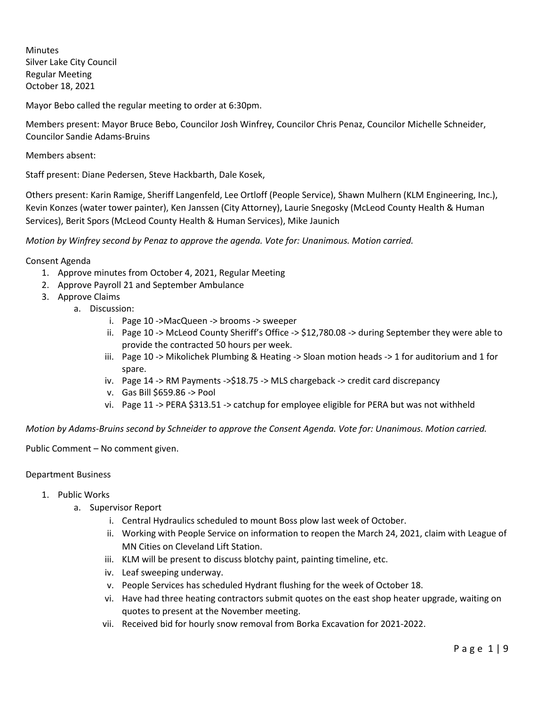**Minutes** Silver Lake City Council Regular Meeting October 18, 2021

Mayor Bebo called the regular meeting to order at 6:30pm.

Members present: Mayor Bruce Bebo, Councilor Josh Winfrey, Councilor Chris Penaz, Councilor Michelle Schneider, Councilor Sandie Adams-Bruins

Members absent:

Staff present: Diane Pedersen, Steve Hackbarth, Dale Kosek,

Others present: Karin Ramige, Sheriff Langenfeld, Lee Ortloff (People Service), Shawn Mulhern (KLM Engineering, Inc.), Kevin Konzes (water tower painter), Ken Janssen (City Attorney), Laurie Snegosky (McLeod County Health & Human Services), Berit Spors (McLeod County Health & Human Services), Mike Jaunich

*Motion by Winfrey second by Penaz to approve the agenda. Vote for: Unanimous. Motion carried.*

Consent Agenda

- 1. Approve minutes from October 4, 2021, Regular Meeting
- 2. Approve Payroll 21 and September Ambulance
- 3. Approve Claims
	- a. Discussion:
		- i. Page 10 ->MacQueen -> brooms -> sweeper
		- ii. Page 10 -> McLeod County Sheriff's Office -> \$12,780.08 -> during September they were able to provide the contracted 50 hours per week.
		- iii. Page 10 -> Mikolichek Plumbing & Heating -> Sloan motion heads -> 1 for auditorium and 1 for spare.
		- iv. Page 14 -> RM Payments ->\$18.75 -> MLS chargeback -> credit card discrepancy
		- v. Gas Bill \$659.86 -> Pool
		- vi. Page 11 -> PERA \$313.51 -> catchup for employee eligible for PERA but was not withheld

*Motion by Adams-Bruins second by Schneider to approve the Consent Agenda. Vote for: Unanimous. Motion carried.*

Public Comment – No comment given.

#### Department Business

- 1. Public Works
	- a. Supervisor Report
		- i. Central Hydraulics scheduled to mount Boss plow last week of October.
		- ii. Working with People Service on information to reopen the March 24, 2021, claim with League of MN Cities on Cleveland Lift Station.
		- iii. KLM will be present to discuss blotchy paint, painting timeline, etc.
		- iv. Leaf sweeping underway.
		- v. People Services has scheduled Hydrant flushing for the week of October 18.
		- vi. Have had three heating contractors submit quotes on the east shop heater upgrade, waiting on quotes to present at the November meeting.
		- vii. Received bid for hourly snow removal from Borka Excavation for 2021-2022.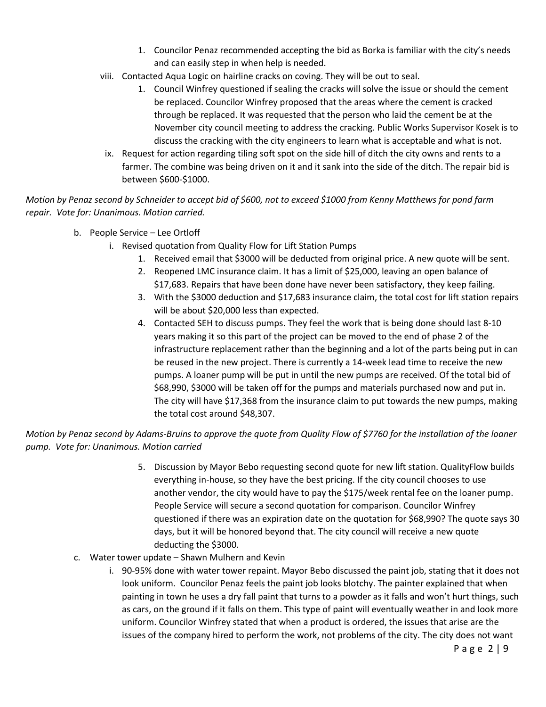- 1. Councilor Penaz recommended accepting the bid as Borka is familiar with the city's needs and can easily step in when help is needed.
- viii. Contacted Aqua Logic on hairline cracks on coving. They will be out to seal.
	- 1. Council Winfrey questioned if sealing the cracks will solve the issue or should the cement be replaced. Councilor Winfrey proposed that the areas where the cement is cracked through be replaced. It was requested that the person who laid the cement be at the November city council meeting to address the cracking. Public Works Supervisor Kosek is to discuss the cracking with the city engineers to learn what is acceptable and what is not.
- ix. Request for action regarding tiling soft spot on the side hill of ditch the city owns and rents to a farmer. The combine was being driven on it and it sank into the side of the ditch. The repair bid is between \$600-\$1000.

*Motion by Penaz second by Schneider to accept bid of \$600, not to exceed \$1000 from Kenny Matthews for pond farm repair. Vote for: Unanimous. Motion carried.*

- b. People Service Lee Ortloff
	- i. Revised quotation from Quality Flow for Lift Station Pumps
		- 1. Received email that \$3000 will be deducted from original price. A new quote will be sent.
		- 2. Reopened LMC insurance claim. It has a limit of \$25,000, leaving an open balance of \$17,683. Repairs that have been done have never been satisfactory, they keep failing.
		- 3. With the \$3000 deduction and \$17,683 insurance claim, the total cost for lift station repairs will be about \$20,000 less than expected.
		- 4. Contacted SEH to discuss pumps. They feel the work that is being done should last 8-10 years making it so this part of the project can be moved to the end of phase 2 of the infrastructure replacement rather than the beginning and a lot of the parts being put in can be reused in the new project. There is currently a 14-week lead time to receive the new pumps. A loaner pump will be put in until the new pumps are received. Of the total bid of \$68,990, \$3000 will be taken off for the pumps and materials purchased now and put in. The city will have \$17,368 from the insurance claim to put towards the new pumps, making the total cost around \$48,307.

# *Motion by Penaz second by Adams-Bruins to approve the quote from Quality Flow of \$7760 for the installation of the loaner pump. Vote for: Unanimous. Motion carried*

- 5. Discussion by Mayor Bebo requesting second quote for new lift station. QualityFlow builds everything in-house, so they have the best pricing. If the city council chooses to use another vendor, the city would have to pay the \$175/week rental fee on the loaner pump. People Service will secure a second quotation for comparison. Councilor Winfrey questioned if there was an expiration date on the quotation for \$68,990? The quote says 30 days, but it will be honored beyond that. The city council will receive a new quote deducting the \$3000.
- c. Water tower update Shawn Mulhern and Kevin
	- i. 90-95% done with water tower repaint. Mayor Bebo discussed the paint job, stating that it does not look uniform. Councilor Penaz feels the paint job looks blotchy. The painter explained that when painting in town he uses a dry fall paint that turns to a powder as it falls and won't hurt things, such as cars, on the ground if it falls on them. This type of paint will eventually weather in and look more uniform. Councilor Winfrey stated that when a product is ordered, the issues that arise are the issues of the company hired to perform the work, not problems of the city. The city does not want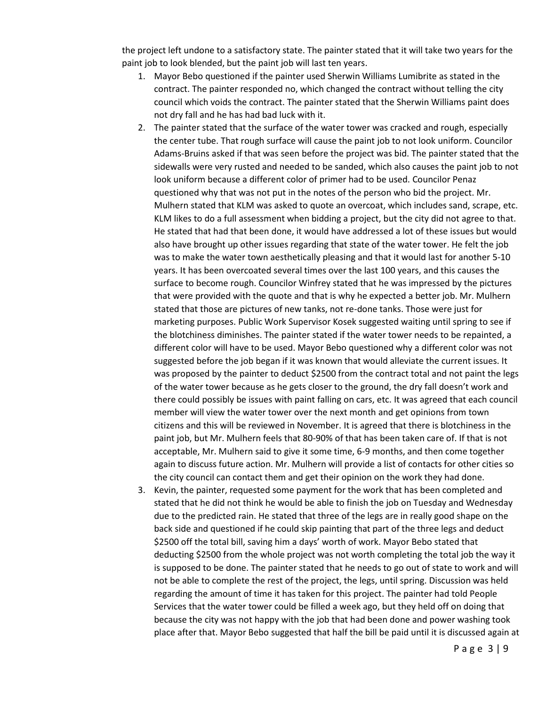the project left undone to a satisfactory state. The painter stated that it will take two years for the paint job to look blended, but the paint job will last ten years.

- 1. Mayor Bebo questioned if the painter used Sherwin Williams Lumibrite as stated in the contract. The painter responded no, which changed the contract without telling the city council which voids the contract. The painter stated that the Sherwin Williams paint does not dry fall and he has had bad luck with it.
- 2. The painter stated that the surface of the water tower was cracked and rough, especially the center tube. That rough surface will cause the paint job to not look uniform. Councilor Adams-Bruins asked if that was seen before the project was bid. The painter stated that the sidewalls were very rusted and needed to be sanded, which also causes the paint job to not look uniform because a different color of primer had to be used. Councilor Penaz questioned why that was not put in the notes of the person who bid the project. Mr. Mulhern stated that KLM was asked to quote an overcoat, which includes sand, scrape, etc. KLM likes to do a full assessment when bidding a project, but the city did not agree to that. He stated that had that been done, it would have addressed a lot of these issues but would also have brought up other issues regarding that state of the water tower. He felt the job was to make the water town aesthetically pleasing and that it would last for another 5-10 years. It has been overcoated several times over the last 100 years, and this causes the surface to become rough. Councilor Winfrey stated that he was impressed by the pictures that were provided with the quote and that is why he expected a better job. Mr. Mulhern stated that those are pictures of new tanks, not re-done tanks. Those were just for marketing purposes. Public Work Supervisor Kosek suggested waiting until spring to see if the blotchiness diminishes. The painter stated if the water tower needs to be repainted, a different color will have to be used. Mayor Bebo questioned why a different color was not suggested before the job began if it was known that would alleviate the current issues. It was proposed by the painter to deduct \$2500 from the contract total and not paint the legs of the water tower because as he gets closer to the ground, the dry fall doesn't work and there could possibly be issues with paint falling on cars, etc. It was agreed that each council member will view the water tower over the next month and get opinions from town citizens and this will be reviewed in November. It is agreed that there is blotchiness in the paint job, but Mr. Mulhern feels that 80-90% of that has been taken care of. If that is not acceptable, Mr. Mulhern said to give it some time, 6-9 months, and then come together again to discuss future action. Mr. Mulhern will provide a list of contacts for other cities so the city council can contact them and get their opinion on the work they had done.
- 3. Kevin, the painter, requested some payment for the work that has been completed and stated that he did not think he would be able to finish the job on Tuesday and Wednesday due to the predicted rain. He stated that three of the legs are in really good shape on the back side and questioned if he could skip painting that part of the three legs and deduct \$2500 off the total bill, saving him a days' worth of work. Mayor Bebo stated that deducting \$2500 from the whole project was not worth completing the total job the way it is supposed to be done. The painter stated that he needs to go out of state to work and will not be able to complete the rest of the project, the legs, until spring. Discussion was held regarding the amount of time it has taken for this project. The painter had told People Services that the water tower could be filled a week ago, but they held off on doing that because the city was not happy with the job that had been done and power washing took place after that. Mayor Bebo suggested that half the bill be paid until it is discussed again at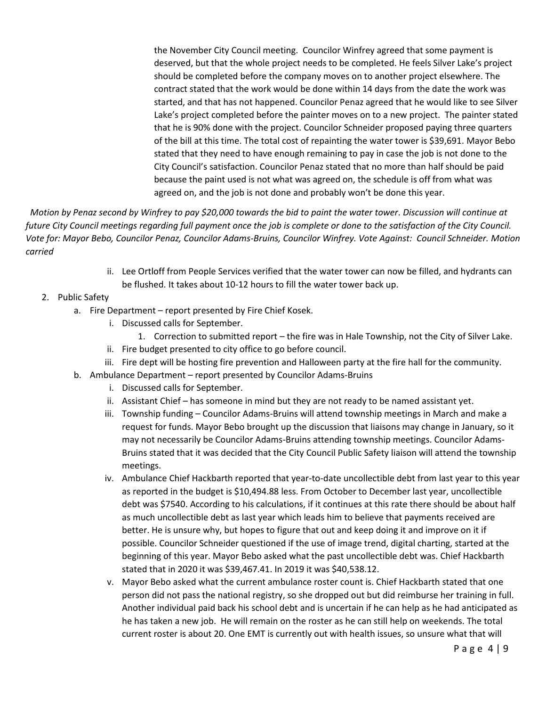the November City Council meeting. Councilor Winfrey agreed that some payment is deserved, but that the whole project needs to be completed. He feels Silver Lake's project should be completed before the company moves on to another project elsewhere. The contract stated that the work would be done within 14 days from the date the work was started, and that has not happened. Councilor Penaz agreed that he would like to see Silver Lake's project completed before the painter moves on to a new project. The painter stated that he is 90% done with the project. Councilor Schneider proposed paying three quarters of the bill at this time. The total cost of repainting the water tower is \$39,691. Mayor Bebo stated that they need to have enough remaining to pay in case the job is not done to the City Council's satisfaction. Councilor Penaz stated that no more than half should be paid because the paint used is not what was agreed on, the schedule is off from what was agreed on, and the job is not done and probably won't be done this year.

 *Motion by Penaz second by Winfrey to pay \$20,000 towards the bid to paint the water tower. Discussion will continue at future City Council meetings regarding full payment once the job is complete or done to the satisfaction of the City Council. Vote for: Mayor Bebo, Councilor Penaz, Councilor Adams-Bruins, Councilor Winfrey. Vote Against: Council Schneider. Motion carried*

- ii. Lee Ortloff from People Services verified that the water tower can now be filled, and hydrants can be flushed. It takes about 10-12 hours to fill the water tower back up.
- 2. Public Safety
	- a. Fire Department report presented by Fire Chief Kosek.
		- i. Discussed calls for September.
		- 1. Correction to submitted report the fire was in Hale Township, not the City of Silver Lake.
		- ii. Fire budget presented to city office to go before council.
		- iii. Fire dept will be hosting fire prevention and Halloween party at the fire hall for the community.
	- b. Ambulance Department report presented by Councilor Adams-Bruins
		- i. Discussed calls for September.
		- ii. Assistant Chief has someone in mind but they are not ready to be named assistant yet.
		- iii. Township funding Councilor Adams-Bruins will attend township meetings in March and make a request for funds. Mayor Bebo brought up the discussion that liaisons may change in January, so it may not necessarily be Councilor Adams-Bruins attending township meetings. Councilor Adams-Bruins stated that it was decided that the City Council Public Safety liaison will attend the township meetings.
		- iv. Ambulance Chief Hackbarth reported that year-to-date uncollectible debt from last year to this year as reported in the budget is \$10,494.88 less. From October to December last year, uncollectible debt was \$7540. According to his calculations, if it continues at this rate there should be about half as much uncollectible debt as last year which leads him to believe that payments received are better. He is unsure why, but hopes to figure that out and keep doing it and improve on it if possible. Councilor Schneider questioned if the use of image trend, digital charting, started at the beginning of this year. Mayor Bebo asked what the past uncollectible debt was. Chief Hackbarth stated that in 2020 it was \$39,467.41. In 2019 it was \$40,538.12.
		- v. Mayor Bebo asked what the current ambulance roster count is. Chief Hackbarth stated that one person did not pass the national registry, so she dropped out but did reimburse her training in full. Another individual paid back his school debt and is uncertain if he can help as he had anticipated as he has taken a new job. He will remain on the roster as he can still help on weekends. The total current roster is about 20. One EMT is currently out with health issues, so unsure what that will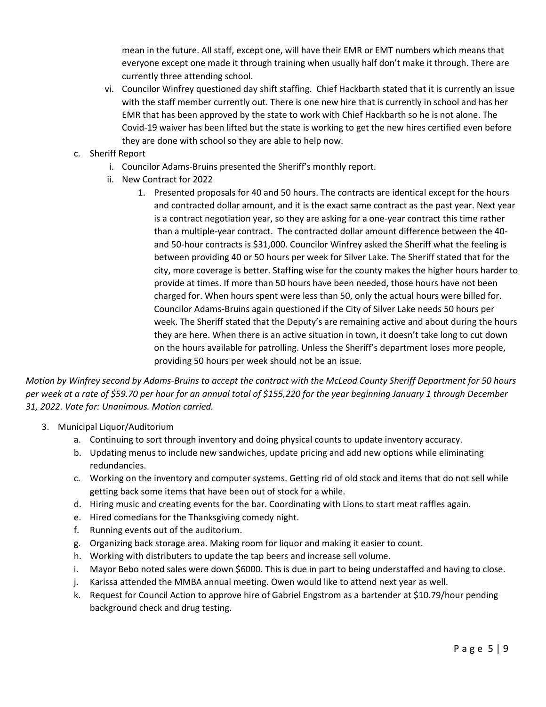mean in the future. All staff, except one, will have their EMR or EMT numbers which means that everyone except one made it through training when usually half don't make it through. There are currently three attending school.

- vi. Councilor Winfrey questioned day shift staffing. Chief Hackbarth stated that it is currently an issue with the staff member currently out. There is one new hire that is currently in school and has her EMR that has been approved by the state to work with Chief Hackbarth so he is not alone. The Covid-19 waiver has been lifted but the state is working to get the new hires certified even before they are done with school so they are able to help now.
- c. Sheriff Report
	- i. Councilor Adams-Bruins presented the Sheriff's monthly report.
	- ii. New Contract for 2022
		- 1. Presented proposals for 40 and 50 hours. The contracts are identical except for the hours and contracted dollar amount, and it is the exact same contract as the past year. Next year is a contract negotiation year, so they are asking for a one-year contract this time rather than a multiple-year contract. The contracted dollar amount difference between the 40 and 50-hour contracts is \$31,000. Councilor Winfrey asked the Sheriff what the feeling is between providing 40 or 50 hours per week for Silver Lake. The Sheriff stated that for the city, more coverage is better. Staffing wise for the county makes the higher hours harder to provide at times. If more than 50 hours have been needed, those hours have not been charged for. When hours spent were less than 50, only the actual hours were billed for. Councilor Adams-Bruins again questioned if the City of Silver Lake needs 50 hours per week. The Sheriff stated that the Deputy's are remaining active and about during the hours they are here. When there is an active situation in town, it doesn't take long to cut down on the hours available for patrolling. Unless the Sheriff's department loses more people, providing 50 hours per week should not be an issue.

*Motion by Winfrey second by Adams-Bruins to accept the contract with the McLeod County Sheriff Department for 50 hours per week at a rate of \$59.70 per hour for an annual total of \$155,220 for the year beginning January 1 through December 31, 2022. Vote for: Unanimous. Motion carried.*

- 3. Municipal Liquor/Auditorium
	- a. Continuing to sort through inventory and doing physical counts to update inventory accuracy.
	- b. Updating menus to include new sandwiches, update pricing and add new options while eliminating redundancies.
	- c. Working on the inventory and computer systems. Getting rid of old stock and items that do not sell while getting back some items that have been out of stock for a while.
	- d. Hiring music and creating events for the bar. Coordinating with Lions to start meat raffles again.
	- e. Hired comedians for the Thanksgiving comedy night.
	- f. Running events out of the auditorium.
	- g. Organizing back storage area. Making room for liquor and making it easier to count.
	- h. Working with distributers to update the tap beers and increase sell volume.
	- i. Mayor Bebo noted sales were down \$6000. This is due in part to being understaffed and having to close.
	- j. Karissa attended the MMBA annual meeting. Owen would like to attend next year as well.
	- k. Request for Council Action to approve hire of Gabriel Engstrom as a bartender at \$10.79/hour pending background check and drug testing.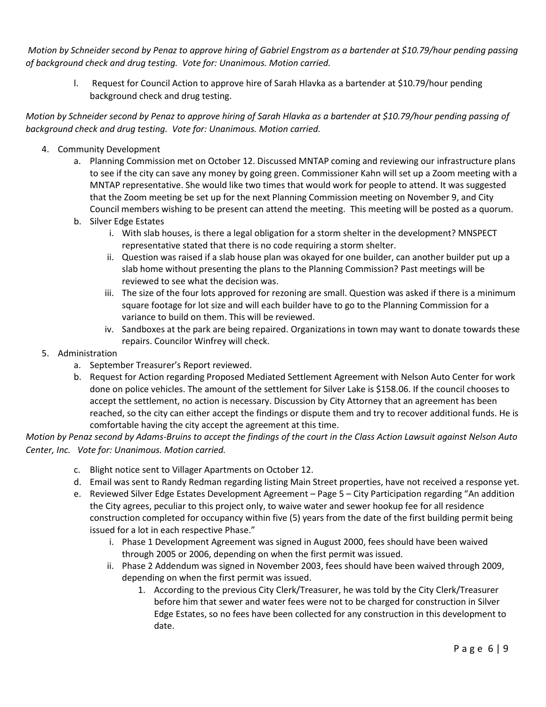*Motion by Schneider second by Penaz to approve hiring of Gabriel Engstrom as a bartender at \$10.79/hour pending passing of background check and drug testing. Vote for: Unanimous. Motion carried.*

l. Request for Council Action to approve hire of Sarah Hlavka as a bartender at \$10.79/hour pending background check and drug testing.

*Motion by Schneider second by Penaz to approve hiring of Sarah Hlavka as a bartender at \$10.79/hour pending passing of background check and drug testing. Vote for: Unanimous. Motion carried.*

- 4. Community Development
	- a. Planning Commission met on October 12. Discussed MNTAP coming and reviewing our infrastructure plans to see if the city can save any money by going green. Commissioner Kahn will set up a Zoom meeting with a MNTAP representative. She would like two times that would work for people to attend. It was suggested that the Zoom meeting be set up for the next Planning Commission meeting on November 9, and City Council members wishing to be present can attend the meeting. This meeting will be posted as a quorum.
	- b. Silver Edge Estates
		- i. With slab houses, is there a legal obligation for a storm shelter in the development? MNSPECT representative stated that there is no code requiring a storm shelter.
		- ii. Question was raised if a slab house plan was okayed for one builder, can another builder put up a slab home without presenting the plans to the Planning Commission? Past meetings will be reviewed to see what the decision was.
		- iii. The size of the four lots approved for rezoning are small. Question was asked if there is a minimum square footage for lot size and will each builder have to go to the Planning Commission for a variance to build on them. This will be reviewed.
		- iv. Sandboxes at the park are being repaired. Organizations in town may want to donate towards these repairs. Councilor Winfrey will check.
- 5. Administration
	- a. September Treasurer's Report reviewed.
	- b. Request for Action regarding Proposed Mediated Settlement Agreement with Nelson Auto Center for work done on police vehicles. The amount of the settlement for Silver Lake is \$158.06. If the council chooses to accept the settlement, no action is necessary. Discussion by City Attorney that an agreement has been reached, so the city can either accept the findings or dispute them and try to recover additional funds. He is comfortable having the city accept the agreement at this time.

*Motion by Penaz second by Adams-Bruins to accept the findings of the court in the Class Action Lawsuit against Nelson Auto Center, Inc. Vote for: Unanimous. Motion carried.*

- c. Blight notice sent to Villager Apartments on October 12.
- d. Email was sent to Randy Redman regarding listing Main Street properties, have not received a response yet.
- e. Reviewed Silver Edge Estates Development Agreement Page 5 City Participation regarding "An addition the City agrees, peculiar to this project only, to waive water and sewer hookup fee for all residence construction completed for occupancy within five (5) years from the date of the first building permit being issued for a lot in each respective Phase."
	- i. Phase 1 Development Agreement was signed in August 2000, fees should have been waived through 2005 or 2006, depending on when the first permit was issued.
	- ii. Phase 2 Addendum was signed in November 2003, fees should have been waived through 2009, depending on when the first permit was issued.
		- 1. According to the previous City Clerk/Treasurer, he was told by the City Clerk/Treasurer before him that sewer and water fees were not to be charged for construction in Silver Edge Estates, so no fees have been collected for any construction in this development to date.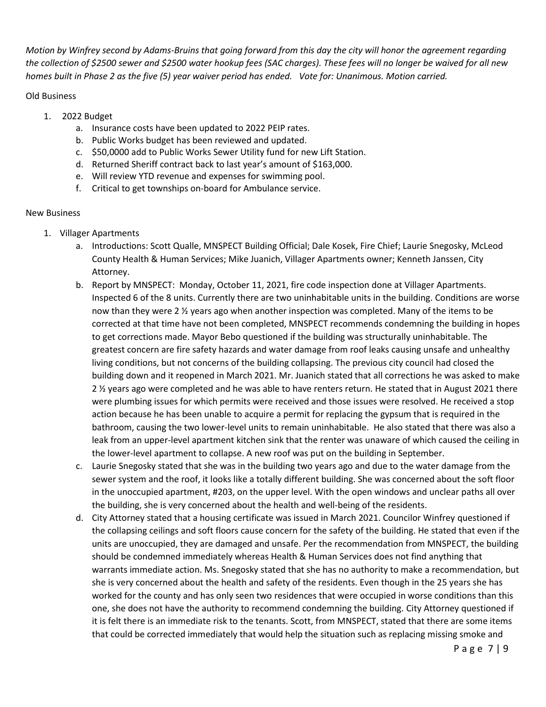*Motion by Winfrey second by Adams-Bruins that going forward from this day the city will honor the agreement regarding the collection of \$2500 sewer and \$2500 water hookup fees (SAC charges). These fees will no longer be waived for all new homes built in Phase 2 as the five (5) year waiver period has ended. Vote for: Unanimous. Motion carried.*

## Old Business

- 1. 2022 Budget
	- a. Insurance costs have been updated to 2022 PEIP rates.
	- b. Public Works budget has been reviewed and updated.
	- c. \$50,0000 add to Public Works Sewer Utility fund for new Lift Station.
	- d. Returned Sheriff contract back to last year's amount of \$163,000.
	- e. Will review YTD revenue and expenses for swimming pool.
	- f. Critical to get townships on-board for Ambulance service.

## New Business

- 1. Villager Apartments
	- a. Introductions: Scott Qualle, MNSPECT Building Official; Dale Kosek, Fire Chief; Laurie Snegosky, McLeod County Health & Human Services; Mike Juanich, Villager Apartments owner; Kenneth Janssen, City Attorney.
	- b. Report by MNSPECT: Monday, October 11, 2021, fire code inspection done at Villager Apartments. Inspected 6 of the 8 units. Currently there are two uninhabitable units in the building. Conditions are worse now than they were 2 ½ years ago when another inspection was completed. Many of the items to be corrected at that time have not been completed, MNSPECT recommends condemning the building in hopes to get corrections made. Mayor Bebo questioned if the building was structurally uninhabitable. The greatest concern are fire safety hazards and water damage from roof leaks causing unsafe and unhealthy living conditions, but not concerns of the building collapsing. The previous city council had closed the building down and it reopened in March 2021. Mr. Juanich stated that all corrections he was asked to make 2 ½ years ago were completed and he was able to have renters return. He stated that in August 2021 there were plumbing issues for which permits were received and those issues were resolved. He received a stop action because he has been unable to acquire a permit for replacing the gypsum that is required in the bathroom, causing the two lower-level units to remain uninhabitable. He also stated that there was also a leak from an upper-level apartment kitchen sink that the renter was unaware of which caused the ceiling in the lower-level apartment to collapse. A new roof was put on the building in September.
	- c. Laurie Snegosky stated that she was in the building two years ago and due to the water damage from the sewer system and the roof, it looks like a totally different building. She was concerned about the soft floor in the unoccupied apartment, #203, on the upper level. With the open windows and unclear paths all over the building, she is very concerned about the health and well-being of the residents.
	- d. City Attorney stated that a housing certificate was issued in March 2021. Councilor Winfrey questioned if the collapsing ceilings and soft floors cause concern for the safety of the building. He stated that even if the units are unoccupied, they are damaged and unsafe. Per the recommendation from MNSPECT, the building should be condemned immediately whereas Health & Human Services does not find anything that warrants immediate action. Ms. Snegosky stated that she has no authority to make a recommendation, but she is very concerned about the health and safety of the residents. Even though in the 25 years she has worked for the county and has only seen two residences that were occupied in worse conditions than this one, she does not have the authority to recommend condemning the building. City Attorney questioned if it is felt there is an immediate risk to the tenants. Scott, from MNSPECT, stated that there are some items that could be corrected immediately that would help the situation such as replacing missing smoke and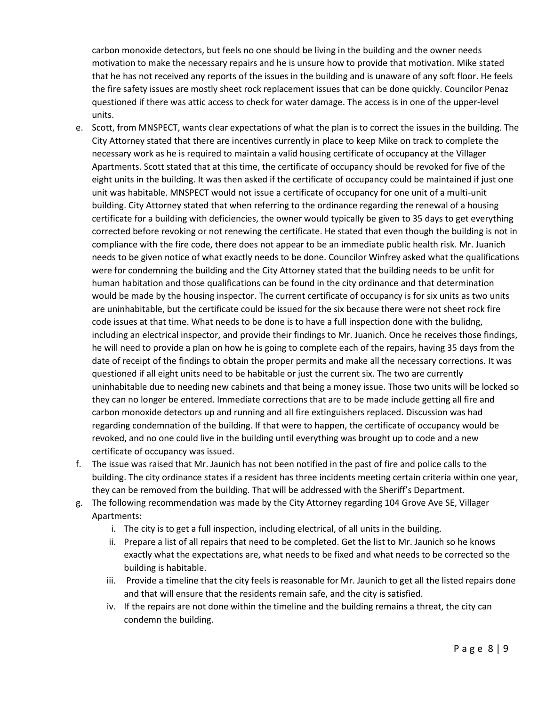carbon monoxide detectors, but feels no one should be living in the building and the owner needs motivation to make the necessary repairs and he is unsure how to provide that motivation. Mike stated that he has not received any reports of the issues in the building and is unaware of any soft floor. He feels the fire safety issues are mostly sheet rock replacement issues that can be done quickly. Councilor Penaz questioned if there was attic access to check for water damage. The access is in one of the upper-level units.

- e. Scott, from MNSPECT, wants clear expectations of what the plan is to correct the issues in the building. The City Attorney stated that there are incentives currently in place to keep Mike on track to complete the necessary work as he is required to maintain a valid housing certificate of occupancy at the Villager Apartments. Scott stated that at this time, the certificate of occupancy should be revoked for five of the eight units in the building. It was then asked if the certificate of occupancy could be maintained if just one unit was habitable. MNSPECT would not issue a certificate of occupancy for one unit of a multi-unit building. City Attorney stated that when referring to the ordinance regarding the renewal of a housing certificate for a building with deficiencies, the owner would typically be given to 35 days to get everything corrected before revoking or not renewing the certificate. He stated that even though the building is not in compliance with the fire code, there does not appear to be an immediate public health risk. Mr. Juanich needs to be given notice of what exactly needs to be done. Councilor Winfrey asked what the qualifications were for condemning the building and the City Attorney stated that the building needs to be unfit for human habitation and those qualifications can be found in the city ordinance and that determination would be made by the housing inspector. The current certificate of occupancy is for six units as two units are uninhabitable, but the certificate could be issued for the six because there were not sheet rock fire code issues at that time. What needs to be done is to have a full inspection done with the bulidng, including an electrical inspector, and provide their findings to Mr. Juanich. Once he receives those findings, he will need to provide a plan on how he is going to complete each of the repairs, having 35 days from the date of receipt of the findings to obtain the proper permits and make all the necessary corrections. It was questioned if all eight units need to be habitable or just the current six. The two are currently uninhabitable due to needing new cabinets and that being a money issue. Those two units will be locked so they can no longer be entered. Immediate corrections that are to be made include getting all fire and carbon monoxide detectors up and running and all fire extinguishers replaced. Discussion was had regarding condemnation of the building. If that were to happen, the certificate of occupancy would be revoked, and no one could live in the building until everything was brought up to code and a new certificate of occupancy was issued.
- f. The issue was raised that Mr. Jaunich has not been notified in the past of fire and police calls to the building. The city ordinance states if a resident has three incidents meeting certain criteria within one year, they can be removed from the building. That will be addressed with the Sheriff's Department.
- g. The following recommendation was made by the City Attorney regarding 104 Grove Ave SE, Villager Apartments:
	- i. The city is to get a full inspection, including electrical, of all units in the building.
	- ii. Prepare a list of all repairs that need to be completed. Get the list to Mr. Jaunich so he knows exactly what the expectations are, what needs to be fixed and what needs to be corrected so the building is habitable.
	- iii. Provide a timeline that the city feels is reasonable for Mr. Jaunich to get all the listed repairs done and that will ensure that the residents remain safe, and the city is satisfied.
	- iv. If the repairs are not done within the timeline and the building remains a threat, the city can condemn the building.